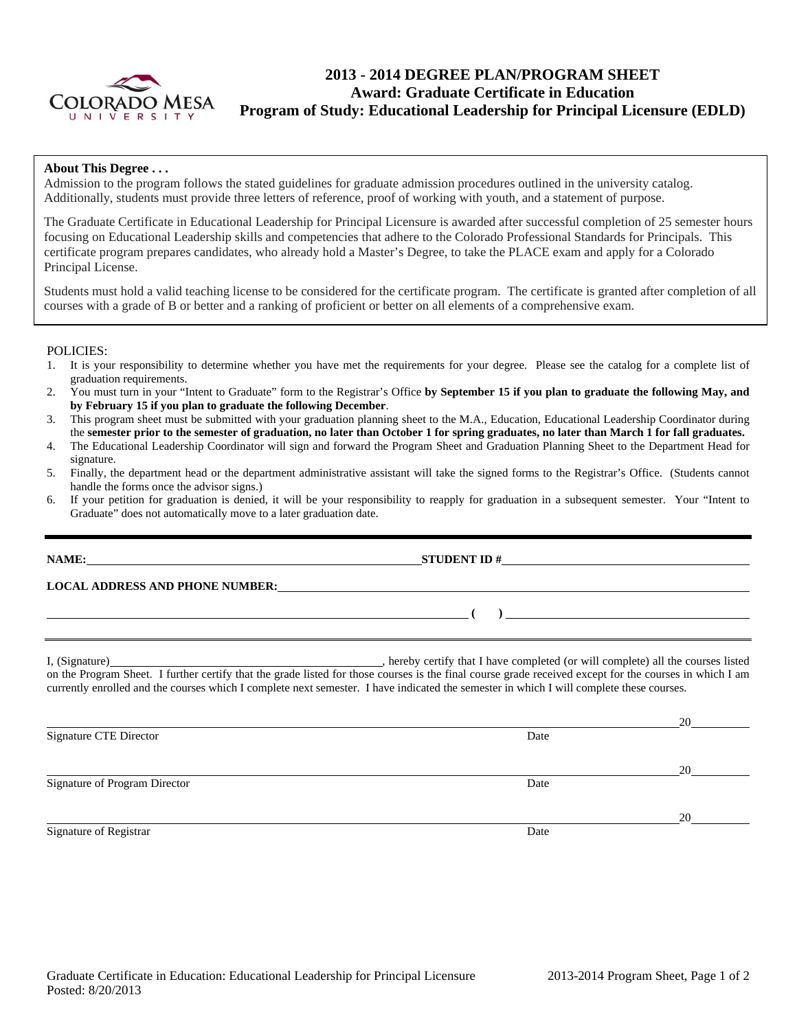

# **2013 - 2014 DEGREE PLAN/PROGRAM SHEET Award: Graduate Certificate in Education Program of Study: Educational Leadership for Principal Licensure (EDLD)**

### **About This Degree . . .**

Admission to the program follows the stated guidelines for graduate admission procedures outlined in the university catalog. Additionally, students must provide three letters of reference, proof of working with youth, and a statement of purpose.

The Graduate Certificate in Educational Leadership for Principal Licensure is awarded after successful completion of 25 semester hours focusing on Educational Leadership skills and competencies that adhere to the Colorado Professional Standards for Principals. This certificate program prepares candidates, who already hold a Master's Degree, to take the PLACE exam and apply for a Colorado Principal License.

Students must hold a valid teaching license to be considered for the certificate program. The certificate is granted after completion of all courses with a grade of B or better and a ranking of proficient or better on all elements of a comprehensive exam.

### POLICIES:

- 1. It is your responsibility to determine whether you have met the requirements for your degree. Please see the catalog for a complete list of graduation requirements.
- 2. You must turn in your "Intent to Graduate" form to the Registrar's Office **by September 15 if you plan to graduate the following May, and by February 15 if you plan to graduate the following December**.
- 3. This program sheet must be submitted with your graduation planning sheet to the M.A., Education, Educational Leadership Coordinator during the **semester prior to the semester of graduation, no later than October 1 for spring graduates, no later than March 1 for fall graduates.**
- 4. The Educational Leadership Coordinator will sign and forward the Program Sheet and Graduation Planning Sheet to the Department Head for signature.
- 5. Finally, the department head or the department administrative assistant will take the signed forms to the Registrar's Office. (Students cannot handle the forms once the advisor signs.)
- 6. If your petition for graduation is denied, it will be your responsibility to reapply for graduation in a subsequent semester. Your "Intent to Graduate" does not automatically move to a later graduation date.

**NAME: STUDENT ID #**

**LOCAL ADDRESS AND PHONE NUMBER:**

I, (Signature) , hereby certify that I have completed (or will complete) all the courses listed on the Program Sheet. I further certify that the grade listed for those courses is the final course grade received except for the courses in which I am currently enrolled and the courses which I complete next semester. I have indicated the semester in which I will complete these courses.

20 Signature CTE Director Date and Security and Security and Security and Security and Security and Security and Security and Security and Security and Security and Security and Security and Security and Security and Security 20 Signature of Program Director **Date** 20 Signature of Registrar Date and Security 2014 and 2016 and 2016 and 2016 and 2016 and 2016 and 2016 and 2016 and 2016 and 2016 and 2016 and 2016 and 2016 and 2016 and 2016 and 2016 and 2016 and 2016 and 2016 and 2016 and 2

 **( )**